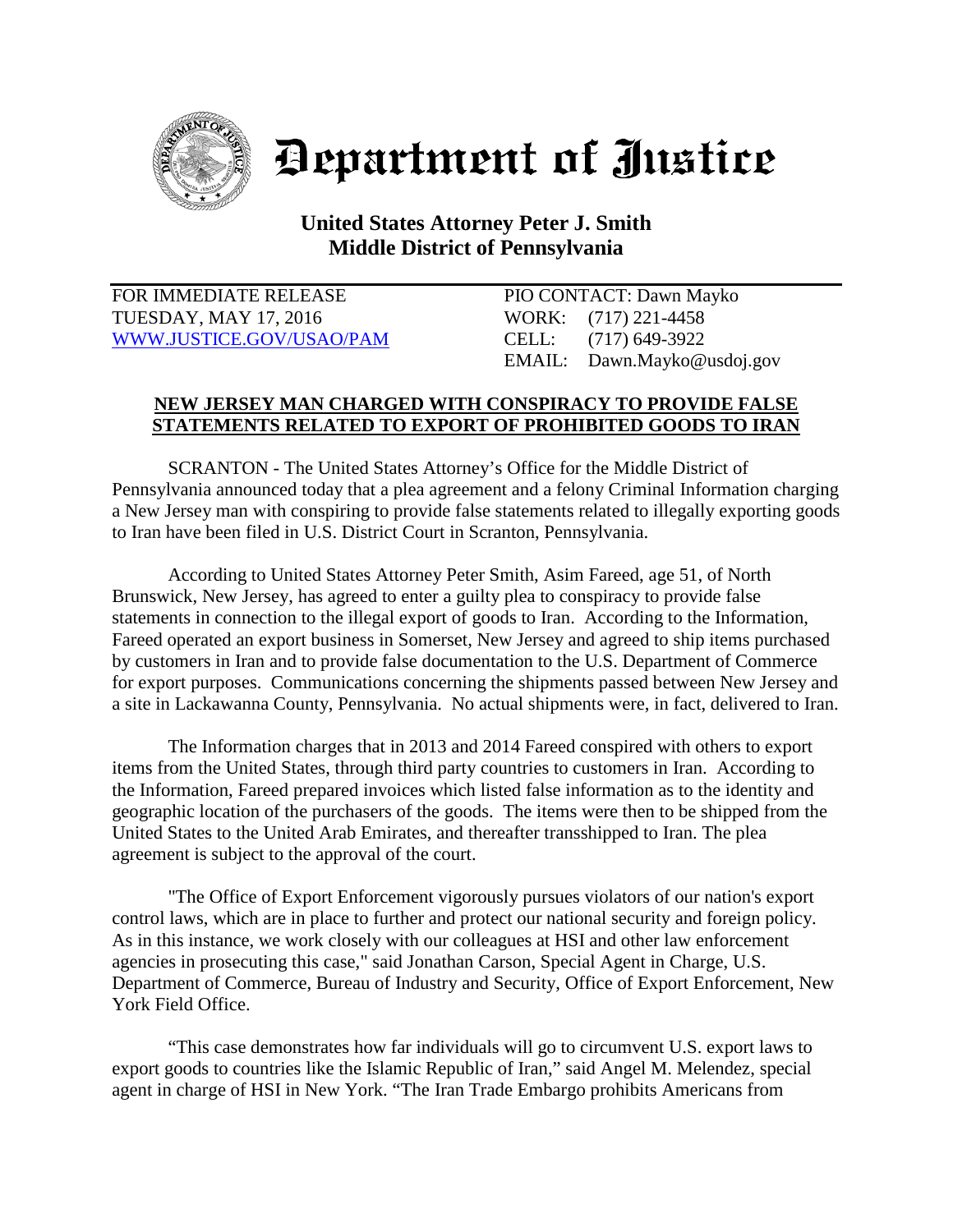

## Department of Justice

## **United States Attorney Peter J. Smith Middle District of Pennsylvania**

FOR IMMEDIATE RELEASE PIO CONTACT: Dawn Mayko TUESDAY, MAY 17, 2016 WORK: (717) 221-4458 [WWW.JUSTICE.GOV/USAO/P](http://www.justice.gov/USAO/)AM CELL: (717) 649-3922

EMAIL: Dawn.Mayko@usdoj.gov

## **NEW JERSEY MAN CHARGED WITH CONSPIRACY TO PROVIDE FALSE STATEMENTS RELATED TO EXPORT OF PROHIBITED GOODS TO IRAN**

SCRANTON - The United States Attorney's Office for the Middle District of Pennsylvania announced today that a plea agreement and a felony Criminal Information charging a New Jersey man with conspiring to provide false statements related to illegally exporting goods to Iran have been filed in U.S. District Court in Scranton, Pennsylvania.

According to United States Attorney Peter Smith, Asim Fareed, age 51, of North Brunswick, New Jersey, has agreed to enter a guilty plea to conspiracy to provide false statements in connection to the illegal export of goods to Iran. According to the Information, Fareed operated an export business in Somerset, New Jersey and agreed to ship items purchased by customers in Iran and to provide false documentation to the U.S. Department of Commerce for export purposes. Communications concerning the shipments passed between New Jersey and a site in Lackawanna County, Pennsylvania. No actual shipments were, in fact, delivered to Iran.

The Information charges that in 2013 and 2014 Fareed conspired with others to export items from the United States, through third party countries to customers in Iran. According to the Information, Fareed prepared invoices which listed false information as to the identity and geographic location of the purchasers of the goods. The items were then to be shipped from the United States to the United Arab Emirates, and thereafter transshipped to Iran. The plea agreement is subject to the approval of the court.

"The Office of Export Enforcement vigorously pursues violators of our nation's export control laws, which are in place to further and protect our national security and foreign policy. As in this instance, we work closely with our colleagues at HSI and other law enforcement agencies in prosecuting this case," said Jonathan Carson, Special Agent in Charge, U.S. Department of Commerce, Bureau of Industry and Security, Office of Export Enforcement, New York Field Office.

"This case demonstrates how far individuals will go to circumvent U.S. export laws to export goods to countries like the Islamic Republic of Iran," said Angel M. Melendez, special agent in charge of HSI in New York. "The Iran Trade Embargo prohibits Americans from